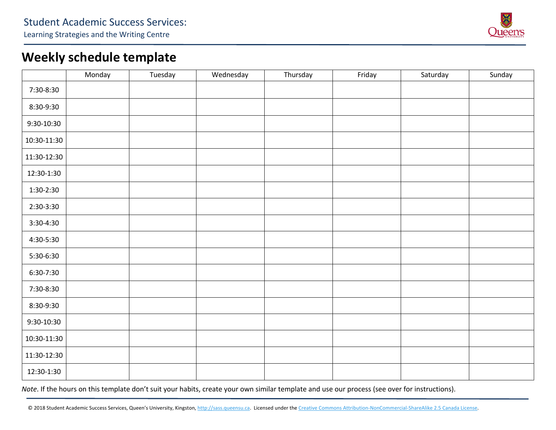

## **Weekly schedule template**

|             | Monday | Tuesday | Wednesday | Thursday | Friday | Saturday | Sunday |
|-------------|--------|---------|-----------|----------|--------|----------|--------|
| 7:30-8:30   |        |         |           |          |        |          |        |
| 8:30-9:30   |        |         |           |          |        |          |        |
| 9:30-10:30  |        |         |           |          |        |          |        |
| 10:30-11:30 |        |         |           |          |        |          |        |
| 11:30-12:30 |        |         |           |          |        |          |        |
| 12:30-1:30  |        |         |           |          |        |          |        |
| 1:30-2:30   |        |         |           |          |        |          |        |
| 2:30-3:30   |        |         |           |          |        |          |        |
| 3:30-4:30   |        |         |           |          |        |          |        |
| 4:30-5:30   |        |         |           |          |        |          |        |
| 5:30-6:30   |        |         |           |          |        |          |        |
| 6:30-7:30   |        |         |           |          |        |          |        |
| 7:30-8:30   |        |         |           |          |        |          |        |
| 8:30-9:30   |        |         |           |          |        |          |        |
| 9:30-10:30  |        |         |           |          |        |          |        |
| 10:30-11:30 |        |         |           |          |        |          |        |
| 11:30-12:30 |        |         |           |          |        |          |        |
| 12:30-1:30  |        |         |           |          |        |          |        |

*Note*. If the hours on this template don't suit your habits, create your own similar template and use our process (see over for instructions).

© 2018 Student Academic Success Services, Queen's University, Kingston, http://sass.queensu.ca. Licensed under the Creative Commons Attribution-NonCommercial-ShareAlike 2.5 Canada License.